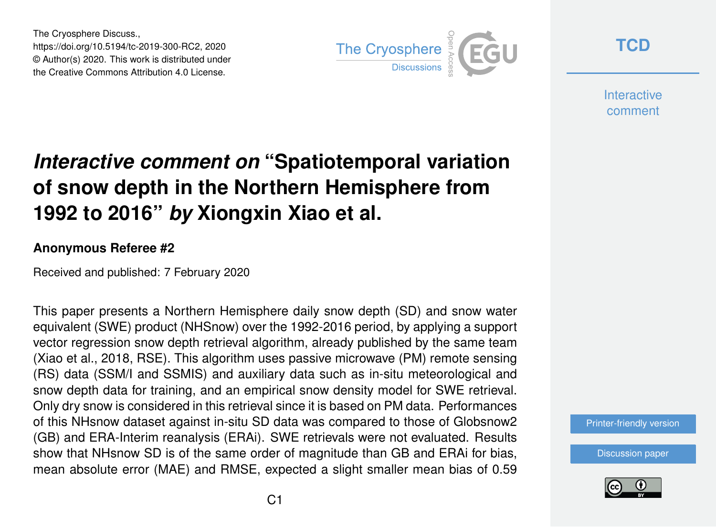The Cryosphere Discuss., https://doi.org/10.5194/tc-2019-300-RC2, 2020 © Author(s) 2020. This work is distributed under the Creative Commons Attribution 4.0 License.



**[TCD](https://www.the-cryosphere-discuss.net/)**

**Interactive** comment

## *Interactive comment on* **"Spatiotemporal variation of snow depth in the Northern Hemisphere from 1992 to 2016"** *by* **Xiongxin Xiao et al.**

## **Anonymous Referee #2**

Received and published: 7 February 2020

This paper presents a Northern Hemisphere daily snow depth (SD) and snow water equivalent (SWE) product (NHSnow) over the 1992-2016 period, by applying a support vector regression snow depth retrieval algorithm, already published by the same team (Xiao et al., 2018, RSE). This algorithm uses passive microwave (PM) remote sensing (RS) data (SSM/I and SSMIS) and auxiliary data such as in-situ meteorological and snow depth data for training, and an empirical snow density model for SWE retrieval. Only dry snow is considered in this retrieval since it is based on PM data. Performances of this NHsnow dataset against in-situ SD data was compared to those of Globsnow2 (GB) and ERA-Interim reanalysis (ERAi). SWE retrievals were not evaluated. Results show that NHsnow SD is of the same order of magnitude than GB and ERAi for bias, mean absolute error (MAE) and RMSE, expected a slight smaller mean bias of 0.59

[Printer-friendly version](https://www.the-cryosphere-discuss.net/tc-2019-300/tc-2019-300-RC2-print.pdf)

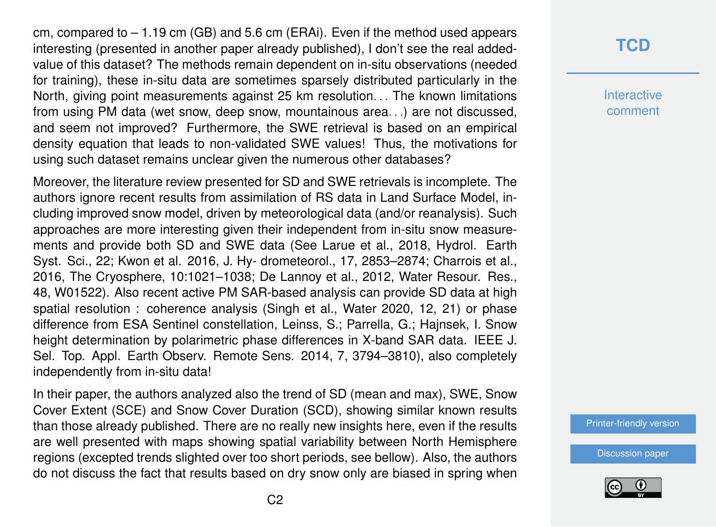cm, compared to  $-1.19$  cm (GB) and 5.6 cm (ERAi). Even if the method used appears interesting (presented in another paper already published), I don't see the real addedvalue of this dataset? The methods remain dependent on in-situ observations (needed for training), these in-situ data are sometimes sparsely distributed particularly in the North, giving point measurements against 25 km resolution... The known limitations from using PM data (wet snow, deep snow, mountainous area. . .) are not discussed, and seem not improved? Furthermore, the SWE retrieval is based on an empirical density equation that leads to non-validated SWE values! Thus, the motivations for using such dataset remains unclear given the numerous other databases?

Moreover, the literature review presented for SD and SWE retrievals is incomplete. The authors ignore recent results from assimilation of RS data in Land Surface Model, including improved snow model, driven by meteorological data (and/or reanalysis). Such approaches are more interesting given their independent from in-situ snow measurements and provide both SD and SWE data (See Larue et al., 2018, Hydrol. Earth Syst. Sci., 22; Kwon et al. 2016, J. Hy- drometeorol., 17, 2853–2874; Charrois et al., 2016, The Cryosphere, 10:1021–1038; De Lannoy et al., 2012, Water Resour. Res., 48, W01522). Also recent active PM SAR-based analysis can provide SD data at high spatial resolution : coherence analysis (Singh et al., Water 2020, 12, 21) or phase difference from ESA Sentinel constellation, Leinss, S.; Parrella, G.; Hajnsek, I. Snow height determination by polarimetric phase differences in X-band SAR data. IEEE J. Sel. Top. Appl. Earth Observ. Remote Sens. 2014, 7, 3794–3810), also completely independently from in-situ data!

In their paper, the authors analyzed also the trend of SD (mean and max), SWE, Snow Cover Extent (SCE) and Snow Cover Duration (SCD), showing similar known results than those already published. There are no really new insights here, even if the results are well presented with maps showing spatial variability between North Hemisphere regions (excepted trends slighted over too short periods, see bellow). Also, the authors do not discuss the fact that results based on dry snow only are biased in spring when

## **[TCD](https://www.the-cryosphere-discuss.net/)**

**Interactive** comment

[Printer-friendly version](https://www.the-cryosphere-discuss.net/tc-2019-300/tc-2019-300-RC2-print.pdf)

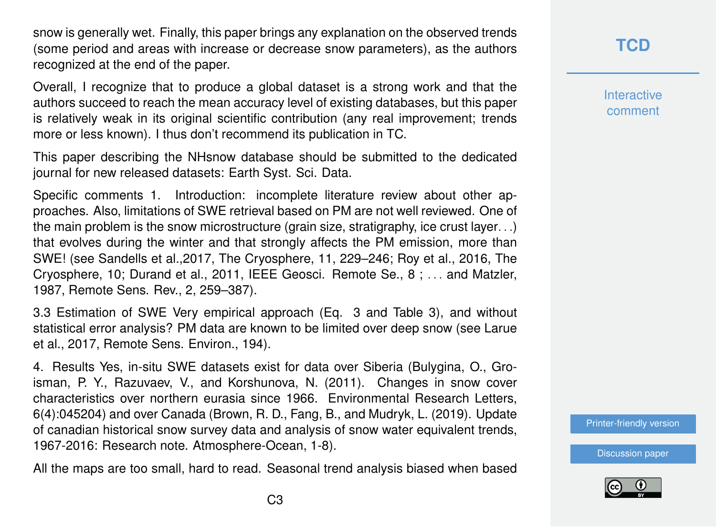snow is generally wet. Finally, this paper brings any explanation on the observed trends (some period and areas with increase or decrease snow parameters), as the authors recognized at the end of the paper.

Overall, I recognize that to produce a global dataset is a strong work and that the authors succeed to reach the mean accuracy level of existing databases, but this paper is relatively weak in its original scientific contribution (any real improvement; trends more or less known). I thus don't recommend its publication in TC.

This paper describing the NHsnow database should be submitted to the dedicated journal for new released datasets: Earth Syst. Sci. Data.

Specific comments 1. Introduction: incomplete literature review about other approaches. Also, limitations of SWE retrieval based on PM are not well reviewed. One of the main problem is the snow microstructure (grain size, stratigraphy, ice crust layer. . .) that evolves during the winter and that strongly affects the PM emission, more than SWE! (see Sandells et al.,2017, The Cryosphere, 11, 229–246; Roy et al., 2016, The Cryosphere, 10; Durand et al., 2011, IEEE Geosci. Remote Se., 8 ; . . . and Matzler, 1987, Remote Sens. Rev., 2, 259–387).

3.3 Estimation of SWE Very empirical approach (Eq. 3 and Table 3), and without statistical error analysis? PM data are known to be limited over deep snow (see Larue et al., 2017, Remote Sens. Environ., 194).

4. Results Yes, in-situ SWE datasets exist for data over Siberia (Bulygina, O., Groisman, P. Y., Razuvaev, V., and Korshunova, N. (2011). Changes in snow cover characteristics over northern eurasia since 1966. Environmental Research Letters, 6(4):045204) and over Canada (Brown, R. D., Fang, B., and Mudryk, L. (2019). Update of canadian historical snow survey data and analysis of snow water equivalent trends, 1967-2016: Research note. Atmosphere-Ocean, 1-8).

All the maps are too small, hard to read. Seasonal trend analysis biased when based

**Interactive** comment

[Printer-friendly version](https://www.the-cryosphere-discuss.net/tc-2019-300/tc-2019-300-RC2-print.pdf)